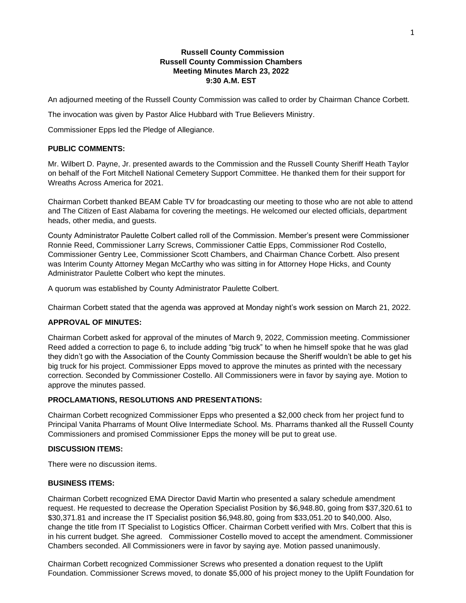## **Russell County Commission Russell County Commission Chambers Meeting Minutes March 23, 2022 9:30 A.M. EST**

An adjourned meeting of the Russell County Commission was called to order by Chairman Chance Corbett.

The invocation was given by Pastor Alice Hubbard with True Believers Ministry.

Commissioner Epps led the Pledge of Allegiance.

#### **PUBLIC COMMENTS:**

Mr. Wilbert D. Payne, Jr. presented awards to the Commission and the Russell County Sheriff Heath Taylor on behalf of the Fort Mitchell National Cemetery Support Committee. He thanked them for their support for Wreaths Across America for 2021.

Chairman Corbett thanked BEAM Cable TV for broadcasting our meeting to those who are not able to attend and The Citizen of East Alabama for covering the meetings. He welcomed our elected officials, department heads, other media, and guests.

County Administrator Paulette Colbert called roll of the Commission. Member's present were Commissioner Ronnie Reed, Commissioner Larry Screws, Commissioner Cattie Epps, Commissioner Rod Costello, Commissioner Gentry Lee, Commissioner Scott Chambers, and Chairman Chance Corbett. Also present was Interim County Attorney Megan McCarthy who was sitting in for Attorney Hope Hicks, and County Administrator Paulette Colbert who kept the minutes.

A quorum was established by County Administrator Paulette Colbert.

Chairman Corbett stated that the agenda was approved at Monday night's work session on March 21, 2022.

## **APPROVAL OF MINUTES:**

Chairman Corbett asked for approval of the minutes of March 9, 2022, Commission meeting. Commissioner Reed added a correction to page 6, to include adding "big truck" to when he himself spoke that he was glad they didn't go with the Association of the County Commission because the Sheriff wouldn't be able to get his big truck for his project. Commissioner Epps moved to approve the minutes as printed with the necessary correction. Seconded by Commissioner Costello. All Commissioners were in favor by saying aye. Motion to approve the minutes passed.

### **PROCLAMATIONS, RESOLUTIONS AND PRESENTATIONS:**

Chairman Corbett recognized Commissioner Epps who presented a \$2,000 check from her project fund to Principal Vanita Pharrams of Mount Olive Intermediate School. Ms. Pharrams thanked all the Russell County Commissioners and promised Commissioner Epps the money will be put to great use.

#### **DISCUSSION ITEMS:**

There were no discussion items.

## **BUSINESS ITEMS:**

Chairman Corbett recognized EMA Director David Martin who presented a salary schedule amendment request. He requested to decrease the Operation Specialist Position by \$6,948.80, going from \$37,320.61 to \$30,371.81 and increase the IT Specialist position \$6,948.80, going from \$33,051.20 to \$40,000. Also, change the title from IT Specialist to Logistics Officer. Chairman Corbett verified with Mrs. Colbert that this is in his current budget. She agreed. Commissioner Costello moved to accept the amendment. Commissioner Chambers seconded. All Commissioners were in favor by saying aye. Motion passed unanimously.

Chairman Corbett recognized Commissioner Screws who presented a donation request to the Uplift Foundation. Commissioner Screws moved, to donate \$5,000 of his project money to the Uplift Foundation for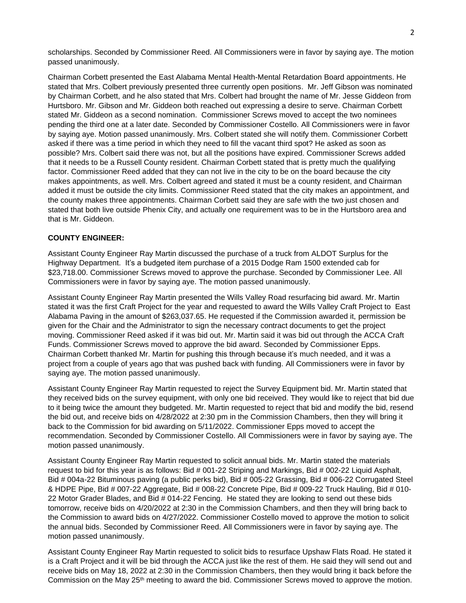scholarships. Seconded by Commissioner Reed. All Commissioners were in favor by saying aye. The motion passed unanimously.

Chairman Corbett presented the East Alabama Mental Health-Mental Retardation Board appointments. He stated that Mrs. Colbert previously presented three currently open positions. Mr. Jeff Gibson was nominated by Chairman Corbett, and he also stated that Mrs. Colbert had brought the name of Mr. Jesse Giddeon from Hurtsboro. Mr. Gibson and Mr. Giddeon both reached out expressing a desire to serve. Chairman Corbett stated Mr. Giddeon as a second nomination. Commissioner Screws moved to accept the two nominees pending the third one at a later date. Seconded by Commissioner Costello. All Commissioners were in favor by saying aye. Motion passed unanimously. Mrs. Colbert stated she will notify them. Commissioner Corbett asked if there was a time period in which they need to fill the vacant third spot? He asked as soon as possible? Mrs. Colbert said there was not, but all the positions have expired. Commissioner Screws added that it needs to be a Russell County resident. Chairman Corbett stated that is pretty much the qualifying factor. Commissioner Reed added that they can not live in the city to be on the board because the city makes appointments, as well. Mrs. Colbert agreed and stated it must be a county resident, and Chairman added it must be outside the city limits. Commissioner Reed stated that the city makes an appointment, and the county makes three appointments. Chairman Corbett said they are safe with the two just chosen and stated that both live outside Phenix City, and actually one requirement was to be in the Hurtsboro area and that is Mr. Giddeon.

## **COUNTY ENGINEER:**

Assistant County Engineer Ray Martin discussed the purchase of a truck from ALDOT Surplus for the Highway Department. It's a budgeted item purchase of a 2015 Dodge Ram 1500 extended cab for \$23,718.00. Commissioner Screws moved to approve the purchase. Seconded by Commissioner Lee. All Commissioners were in favor by saying aye. The motion passed unanimously.

Assistant County Engineer Ray Martin presented the Wills Valley Road resurfacing bid award. Mr. Martin stated it was the first Craft Project for the year and requested to award the Wills Valley Craft Project to East Alabama Paving in the amount of \$263,037.65. He requested if the Commission awarded it, permission be given for the Chair and the Administrator to sign the necessary contract documents to get the project moving. Commissioner Reed asked if it was bid out. Mr. Martin said it was bid out through the ACCA Craft Funds. Commissioner Screws moved to approve the bid award. Seconded by Commissioner Epps. Chairman Corbett thanked Mr. Martin for pushing this through because it's much needed, and it was a project from a couple of years ago that was pushed back with funding. All Commissioners were in favor by saying aye. The motion passed unanimously.

Assistant County Engineer Ray Martin requested to reject the Survey Equipment bid. Mr. Martin stated that they received bids on the survey equipment, with only one bid received. They would like to reject that bid due to it being twice the amount they budgeted. Mr. Martin requested to reject that bid and modify the bid, resend the bid out, and receive bids on 4/28/2022 at 2:30 pm in the Commission Chambers, then they will bring it back to the Commission for bid awarding on 5/11/2022. Commissioner Epps moved to accept the recommendation. Seconded by Commissioner Costello. All Commissioners were in favor by saying aye. The motion passed unanimously.

Assistant County Engineer Ray Martin requested to solicit annual bids. Mr. Martin stated the materials request to bid for this year is as follows: Bid # 001-22 Striping and Markings, Bid # 002-22 Liquid Asphalt, Bid # 004a-22 Bituminous paving (a public perks bid), Bid # 005-22 Grassing, Bid # 006-22 Corrugated Steel & HDPE Pipe, Bid # 007-22 Aggregate, Bid # 008-22 Concrete Pipe, Bid # 009-22 Truck Hauling, Bid # 010- 22 Motor Grader Blades, and Bid # 014-22 Fencing. He stated they are looking to send out these bids tomorrow, receive bids on 4/20/2022 at 2:30 in the Commission Chambers, and then they will bring back to the Commission to award bids on 4/27/2022. Commissioner Costello moved to approve the motion to solicit the annual bids. Seconded by Commissioner Reed. All Commissioners were in favor by saying aye. The motion passed unanimously.

Assistant County Engineer Ray Martin requested to solicit bids to resurface Upshaw Flats Road. He stated it is a Craft Project and it will be bid through the ACCA just like the rest of them. He said they will send out and receive bids on May 18, 2022 at 2:30 in the Commission Chambers, then they would bring it back before the Commission on the May 25th meeting to award the bid. Commissioner Screws moved to approve the motion.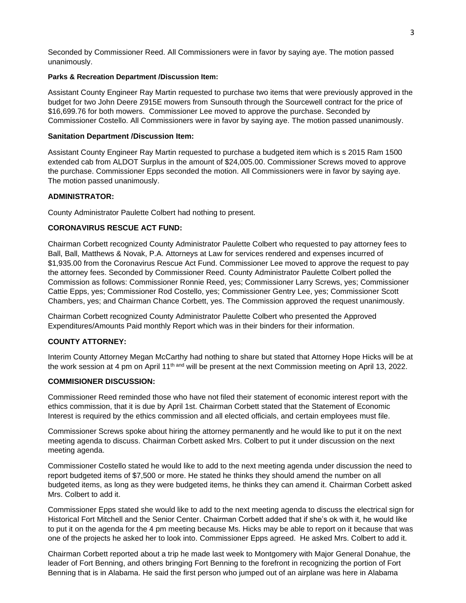Seconded by Commissioner Reed. All Commissioners were in favor by saying aye. The motion passed unanimously.

### **Parks & Recreation Department /Discussion Item:**

Assistant County Engineer Ray Martin requested to purchase two items that were previously approved in the budget for two John Deere Z915E mowers from Sunsouth through the Sourcewell contract for the price of \$16,699.76 for both mowers. Commissioner Lee moved to approve the purchase. Seconded by Commissioner Costello. All Commissioners were in favor by saying aye. The motion passed unanimously.

## **Sanitation Department /Discussion Item:**

Assistant County Engineer Ray Martin requested to purchase a budgeted item which is s 2015 Ram 1500 extended cab from ALDOT Surplus in the amount of \$24,005.00. Commissioner Screws moved to approve the purchase. Commissioner Epps seconded the motion. All Commissioners were in favor by saying aye. The motion passed unanimously.

## **ADMINISTRATOR:**

County Administrator Paulette Colbert had nothing to present.

# **CORONAVIRUS RESCUE ACT FUND:**

Chairman Corbett recognized County Administrator Paulette Colbert who requested to pay attorney fees to Ball, Ball, Matthews & Novak, P.A. Attorneys at Law for services rendered and expenses incurred of \$1,935.00 from the Coronavirus Rescue Act Fund. Commissioner Lee moved to approve the request to pay the attorney fees. Seconded by Commissioner Reed. County Administrator Paulette Colbert polled the Commission as follows: Commissioner Ronnie Reed, yes; Commissioner Larry Screws, yes; Commissioner Cattie Epps, yes; Commissioner Rod Costello, yes; Commissioner Gentry Lee, yes; Commissioner Scott Chambers, yes; and Chairman Chance Corbett, yes. The Commission approved the request unanimously.

Chairman Corbett recognized County Administrator Paulette Colbert who presented the Approved Expenditures/Amounts Paid monthly Report which was in their binders for their information.

# **COUNTY ATTORNEY:**

Interim County Attorney Megan McCarthy had nothing to share but stated that Attorney Hope Hicks will be at the work session at 4 pm on April 11<sup>th and</sup> will be present at the next Commission meeting on April 13, 2022.

## **COMMISIONER DISCUSSION:**

Commissioner Reed reminded those who have not filed their statement of economic interest report with the ethics commission, that it is due by April 1st. Chairman Corbett stated that the Statement of Economic Interest is required by the ethics commission and all elected officials, and certain employees must file.

Commissioner Screws spoke about hiring the attorney permanently and he would like to put it on the next meeting agenda to discuss. Chairman Corbett asked Mrs. Colbert to put it under discussion on the next meeting agenda.

Commissioner Costello stated he would like to add to the next meeting agenda under discussion the need to report budgeted items of \$7,500 or more. He stated he thinks they should amend the number on all budgeted items, as long as they were budgeted items, he thinks they can amend it. Chairman Corbett asked Mrs. Colbert to add it.

Commissioner Epps stated she would like to add to the next meeting agenda to discuss the electrical sign for Historical Fort Mitchell and the Senior Center. Chairman Corbett added that if she's ok with it, he would like to put it on the agenda for the 4 pm meeting because Ms. Hicks may be able to report on it because that was one of the projects he asked her to look into. Commissioner Epps agreed. He asked Mrs. Colbert to add it.

Chairman Corbett reported about a trip he made last week to Montgomery with Major General Donahue, the leader of Fort Benning, and others bringing Fort Benning to the forefront in recognizing the portion of Fort Benning that is in Alabama. He said the first person who jumped out of an airplane was here in Alabama